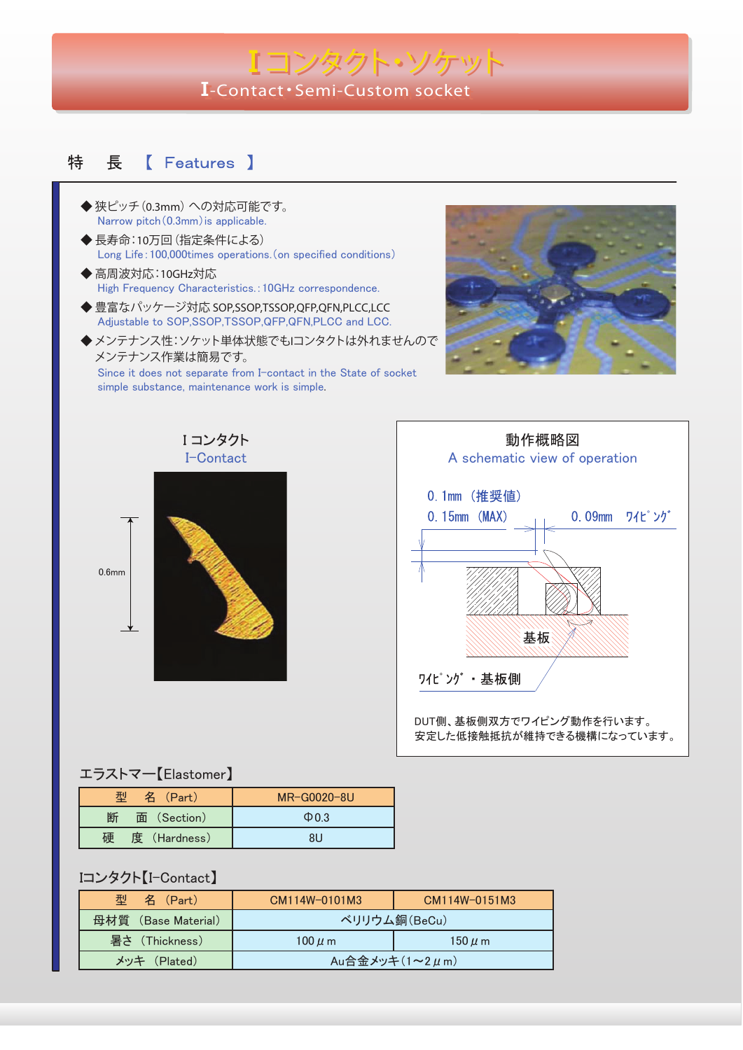# **II-Contact**・**Semi-Custom socket -Contact**・**Semi-Custom socket** Iコンタクト・ソケット

#### **[** Features ] 特 長

- ◆ 狭ピッチ(**0.3mm**)への対応可能です。 Narrow pitch (0.3mm) is applicable.
- ◆ 長寿命:**10**万回(指定条件による) Long Life:100,000times operations.(on specified conditions)
- ◆ 高周波対応:**10GHz**対応 High Frequency Characteristics.:10GHz correspondence.
- ◆ 豊富なパッケージ対応 **SOP,SSOP,TSSOP,QFP,QFN,PLCC,LCC** Adjustable to SOP,SSOP,TSSOP,QFP,QFN,PLCC and LCC.
- **◆メンテナンス性:ソケット単体状態でもIコンタクトは外れませんので** メンテナンス作業は簡易です。

Since it does not separate from I-contact in the State of socket simple substance, maintenance work is simple.







#### エラストマー【Elastomer】

| 型<br>名 (Part)     | MR-G0020-8U |
|-------------------|-------------|
| 断<br>面 (Section)  | $\Phi$ 03   |
| 度 (Hardness)<br>碩 | 81 J        |

### Iコンタクト【I-Contact】

| 型<br>名 (Part)       | CM114W-0101M3              | CM114W-0151M3 |
|---------------------|----------------------------|---------------|
| 母材質 (Base Material) | ベリリウム銅(BeCu)               |               |
| 暑さ (Thickness)      | $100 \mu$ m                | $150 \mu$ m   |
| メッキ (Plated)        | Au合金メッキ $(1 \sim 2 \mu m)$ |               |